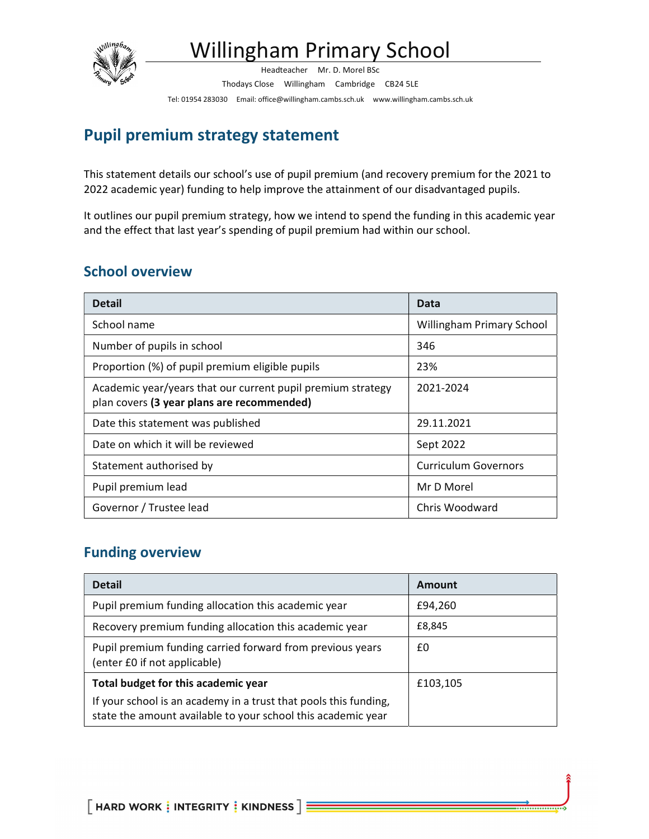

# Willingham Primary School

Headteacher Mr. D. Morel BSc Thodays Close Willingham Cambridge CB24 5LE Tel: 01954 283030 Email: office@willingham.cambs.sch.uk www.willingham.cambs.sch.uk

## Pupil premium strategy statement

This statement details our school's use of pupil premium (and recovery premium for the 2021 to 2022 academic year) funding to help improve the attainment of our disadvantaged pupils.

It outlines our pupil premium strategy, how we intend to spend the funding in this academic year and the effect that last year's spending of pupil premium had within our school.

## School overview

| <b>Detail</b>                                                                                             | Data                             |
|-----------------------------------------------------------------------------------------------------------|----------------------------------|
| School name                                                                                               | <b>Willingham Primary School</b> |
| Number of pupils in school                                                                                | 346                              |
| Proportion (%) of pupil premium eligible pupils                                                           | 23%                              |
| Academic year/years that our current pupil premium strategy<br>plan covers (3 year plans are recommended) | 2021-2024                        |
| Date this statement was published                                                                         | 29.11.2021                       |
| Date on which it will be reviewed                                                                         | Sept 2022                        |
| Statement authorised by                                                                                   | <b>Curriculum Governors</b>      |
| Pupil premium lead                                                                                        | Mr D Morel                       |
| Governor / Trustee lead                                                                                   | Chris Woodward                   |

## Funding overview

| <b>Detail</b>                                                                                                                    | Amount   |
|----------------------------------------------------------------------------------------------------------------------------------|----------|
| Pupil premium funding allocation this academic year                                                                              | £94,260  |
| Recovery premium funding allocation this academic year                                                                           | £8,845   |
| Pupil premium funding carried forward from previous years<br>(enter £0 if not applicable)                                        | £0       |
| Total budget for this academic year                                                                                              | £103,105 |
| If your school is an academy in a trust that pools this funding,<br>state the amount available to your school this academic year |          |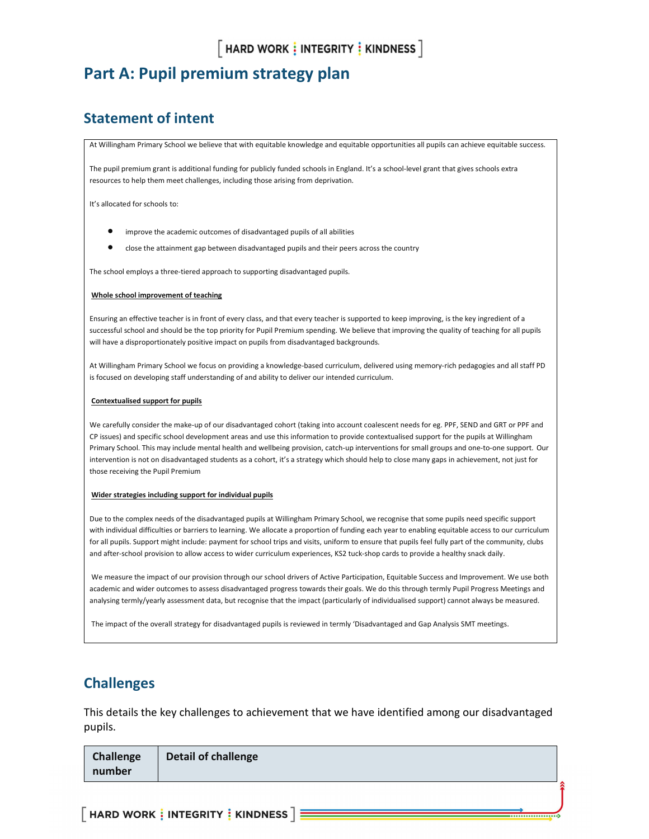## Part A: Pupil premium strategy plan

## Statement of intent

At Willingham Primary School we believe that with equitable knowledge and equitable opportunities all pupils can achieve equitable success.

The pupil premium grant is additional funding for publicly funded schools in England. It's a school-level grant that gives schools extra resources to help them meet challenges, including those arising from deprivation.

It's allocated for schools to:

- improve the academic outcomes of disadvantaged pupils of all abilities
- close the attainment gap between disadvantaged pupils and their peers across the country

The school employs a three-tiered approach to supporting disadvantaged pupils.

#### Whole school improvement of teaching

Ensuring an effective teacher is in front of every class, and that every teacher is supported to keep improving, is the key ingredient of a successful school and should be the top priority for Pupil Premium spending. We believe that improving the quality of teaching for all pupils will have a disproportionately positive impact on pupils from disadvantaged backgrounds.

At Willingham Primary School we focus on providing a knowledge-based curriculum, delivered using memory-rich pedagogies and all staff PD is focused on developing staff understanding of and ability to deliver our intended curriculum.

#### Contextualised support for pupils

We carefully consider the make-up of our disadvantaged cohort (taking into account coalescent needs for eg. PPF, SEND and GRT or PPF and CP issues) and specific school development areas and use this information to provide contextualised support for the pupils at Willingham Primary School. This may include mental health and wellbeing provision, catch-up interventions for small groups and one-to-one support. Our intervention is not on disadvantaged students as a cohort, it's a strategy which should help to close many gaps in achievement, not just for those receiving the Pupil Premium

#### Wider strategies including support for individual pupils

Due to the complex needs of the disadvantaged pupils at Willingham Primary School, we recognise that some pupils need specific support with individual difficulties or barriers to learning. We allocate a proportion of funding each year to enabling equitable access to our curriculum for all pupils. Support might include: payment for school trips and visits, uniform to ensure that pupils feel fully part of the community, clubs and after-school provision to allow access to wider curriculum experiences, KS2 tuck-shop cards to provide a healthy snack daily.

 We measure the impact of our provision through our school drivers of Active Participation, Equitable Success and Improvement. We use both academic and wider outcomes to assess disadvantaged progress towards their goals. We do this through termly Pupil Progress Meetings and analysing termly/yearly assessment data, but recognise that the impact (particularly of individualised support) cannot always be measured.

The impact of the overall strategy for disadvantaged pupils is reviewed in termly 'Disadvantaged and Gap Analysis SMT meetings.

#### Challenges

This details the key challenges to achievement that we have identified among our disadvantaged pupils.

| Challenge<br>number | Detail of challenge |  |
|---------------------|---------------------|--|
|                     |                     |  |

 $\lceil$  HARD WORK  $\vdots$  INTEGRITY  $\vdots$  KINDNESS  $\rceil$   $\vdots$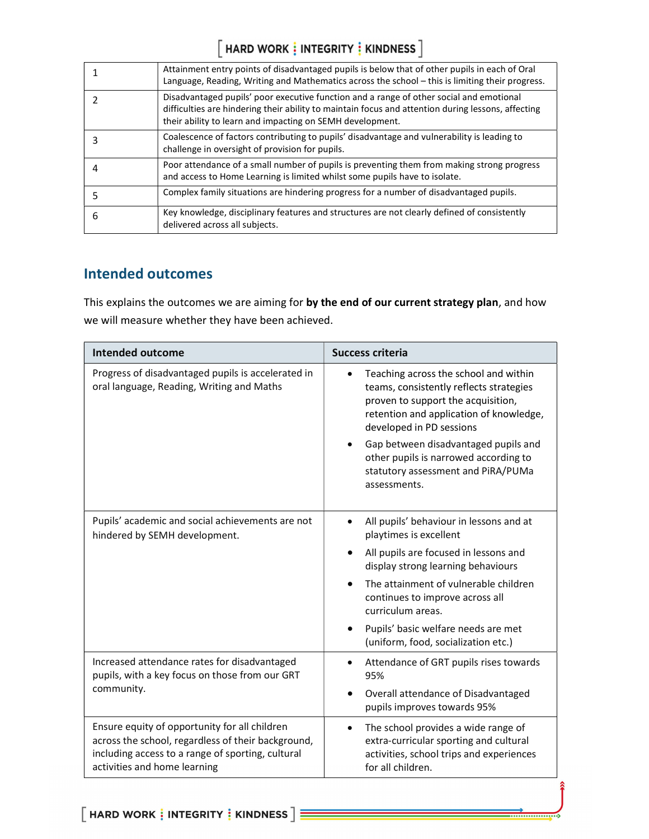# $\left[\right.$  HARD WORK  $\frac{1}{2}$  INTEGRITY  $\frac{1}{2}$  KINDNESS  $\left.\right]$

|   | Attainment entry points of disadvantaged pupils is below that of other pupils in each of Oral<br>Language, Reading, Writing and Mathematics across the school - this is limiting their progress.                                                           |
|---|------------------------------------------------------------------------------------------------------------------------------------------------------------------------------------------------------------------------------------------------------------|
|   | Disadvantaged pupils' poor executive function and a range of other social and emotional<br>difficulties are hindering their ability to maintain focus and attention during lessons, affecting<br>their ability to learn and impacting on SEMH development. |
|   | Coalescence of factors contributing to pupils' disadvantage and vulnerability is leading to<br>challenge in oversight of provision for pupils.                                                                                                             |
|   | Poor attendance of a small number of pupils is preventing them from making strong progress<br>and access to Home Learning is limited whilst some pupils have to isolate.                                                                                   |
|   | Complex family situations are hindering progress for a number of disadvantaged pupils.                                                                                                                                                                     |
| 6 | Key knowledge, disciplinary features and structures are not clearly defined of consistently<br>delivered across all subjects.                                                                                                                              |

## Intended outcomes

This explains the outcomes we are aiming for by the end of our current strategy plan, and how we will measure whether they have been achieved.

| <b>Intended outcome</b>                                                                                                                                                                  | <b>Success criteria</b>                                                                                                                                                                       |
|------------------------------------------------------------------------------------------------------------------------------------------------------------------------------------------|-----------------------------------------------------------------------------------------------------------------------------------------------------------------------------------------------|
| Progress of disadvantaged pupils is accelerated in<br>oral language, Reading, Writing and Maths                                                                                          | Teaching across the school and within<br>teams, consistently reflects strategies<br>proven to support the acquisition,<br>retention and application of knowledge,<br>developed in PD sessions |
|                                                                                                                                                                                          | Gap between disadvantaged pupils and<br>other pupils is narrowed according to<br>statutory assessment and PiRA/PUMa<br>assessments.                                                           |
| Pupils' academic and social achievements are not<br>hindered by SEMH development.                                                                                                        | All pupils' behaviour in lessons and at<br>$\bullet$<br>playtimes is excellent                                                                                                                |
|                                                                                                                                                                                          | All pupils are focused in lessons and<br>display strong learning behaviours                                                                                                                   |
|                                                                                                                                                                                          | The attainment of vulnerable children<br>continues to improve across all<br>curriculum areas.                                                                                                 |
|                                                                                                                                                                                          | Pupils' basic welfare needs are met<br>(uniform, food, socialization etc.)                                                                                                                    |
| Increased attendance rates for disadvantaged<br>pupils, with a key focus on those from our GRT                                                                                           | Attendance of GRT pupils rises towards<br>95%                                                                                                                                                 |
| community.                                                                                                                                                                               | Overall attendance of Disadvantaged<br>pupils improves towards 95%                                                                                                                            |
| Ensure equity of opportunity for all children<br>across the school, regardless of their background,<br>including access to a range of sporting, cultural<br>activities and home learning | The school provides a wide range of<br>$\bullet$<br>extra-curricular sporting and cultural<br>activities, school trips and experiences<br>for all children.                                   |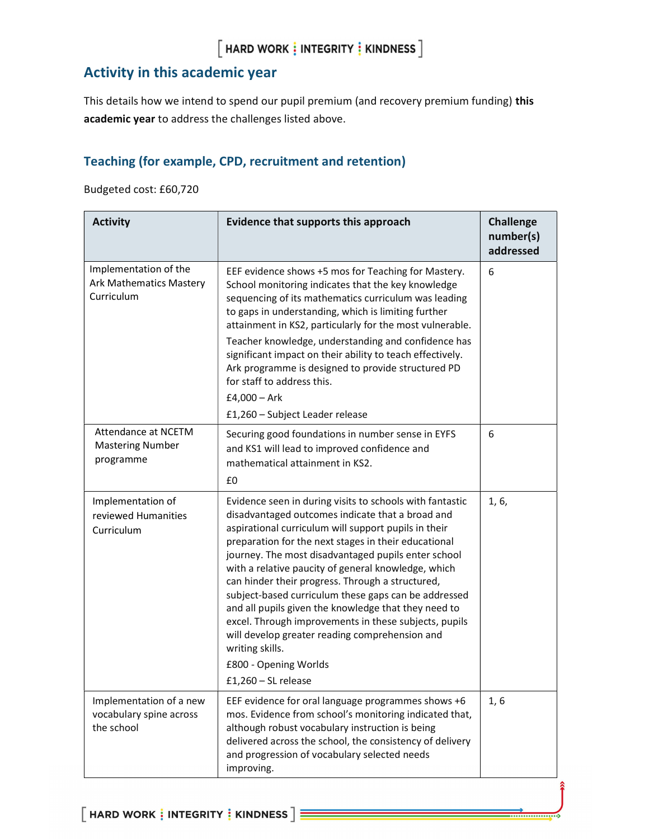## Activity in this academic year

This details how we intend to spend our pupil premium (and recovery premium funding) this academic year to address the challenges listed above.

#### Teaching (for example, CPD, recruitment and retention)

Budgeted cost: £60,720

| <b>Activity</b>                                                       | Evidence that supports this approach                                                                                                                                                                                                                                                                                                                                                                                                                                                                                                                                                                                                                                                           | <b>Challenge</b><br>number(s)<br>addressed |
|-----------------------------------------------------------------------|------------------------------------------------------------------------------------------------------------------------------------------------------------------------------------------------------------------------------------------------------------------------------------------------------------------------------------------------------------------------------------------------------------------------------------------------------------------------------------------------------------------------------------------------------------------------------------------------------------------------------------------------------------------------------------------------|--------------------------------------------|
| Implementation of the<br><b>Ark Mathematics Mastery</b><br>Curriculum | EEF evidence shows +5 mos for Teaching for Mastery.<br>School monitoring indicates that the key knowledge<br>sequencing of its mathematics curriculum was leading<br>to gaps in understanding, which is limiting further<br>attainment in KS2, particularly for the most vulnerable.<br>Teacher knowledge, understanding and confidence has<br>significant impact on their ability to teach effectively.<br>Ark programme is designed to provide structured PD<br>for staff to address this.<br>£4,000 $-$ Ark                                                                                                                                                                                 | 6                                          |
|                                                                       | £1,260 - Subject Leader release                                                                                                                                                                                                                                                                                                                                                                                                                                                                                                                                                                                                                                                                |                                            |
| Attendance at NCETM<br><b>Mastering Number</b><br>programme           | Securing good foundations in number sense in EYFS<br>and KS1 will lead to improved confidence and<br>mathematical attainment in KS2.<br>£0                                                                                                                                                                                                                                                                                                                                                                                                                                                                                                                                                     | 6                                          |
| Implementation of<br>reviewed Humanities<br>Curriculum                | Evidence seen in during visits to schools with fantastic<br>disadvantaged outcomes indicate that a broad and<br>aspirational curriculum will support pupils in their<br>preparation for the next stages in their educational<br>journey. The most disadvantaged pupils enter school<br>with a relative paucity of general knowledge, which<br>can hinder their progress. Through a structured,<br>subject-based curriculum these gaps can be addressed<br>and all pupils given the knowledge that they need to<br>excel. Through improvements in these subjects, pupils<br>will develop greater reading comprehension and<br>writing skills.<br>£800 - Opening Worlds<br>$£1,260 - SL$ release | 1, 6,                                      |
| Implementation of a new<br>vocabulary spine across<br>the school      | EEF evidence for oral language programmes shows +6<br>mos. Evidence from school's monitoring indicated that,<br>although robust vocabulary instruction is being<br>delivered across the school, the consistency of delivery<br>and progression of vocabulary selected needs<br>improving.                                                                                                                                                                                                                                                                                                                                                                                                      | 1, 6                                       |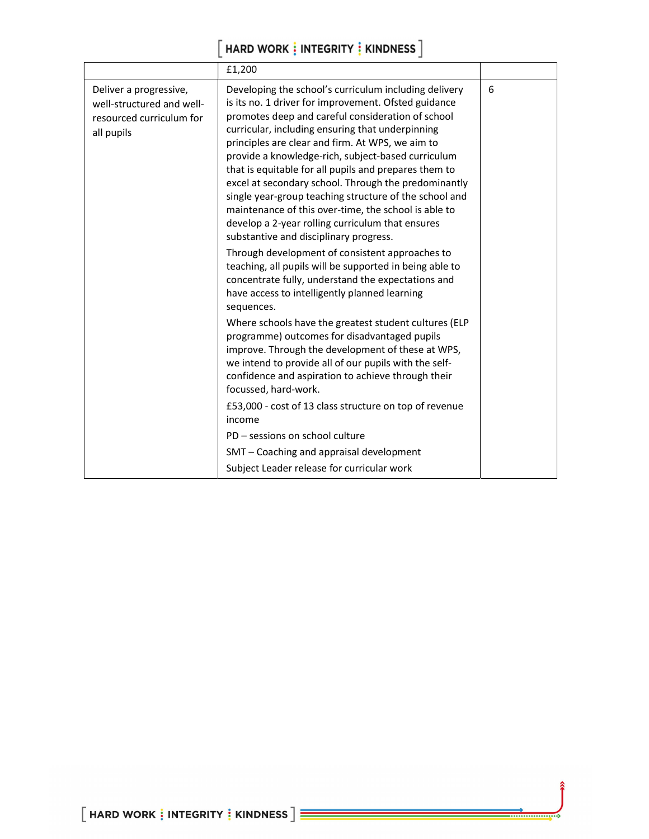# $\left[\right.$  HARD WORK  $\frac{1}{3}$  INTEGRITY  $\frac{1}{3}$  KINDNESS  $\left.\right]$

|                                                                                               | £1,200                                                                                                                                                                                                                                                                                                                                                                                                                                                                                                                                                                                                                                                            |   |
|-----------------------------------------------------------------------------------------------|-------------------------------------------------------------------------------------------------------------------------------------------------------------------------------------------------------------------------------------------------------------------------------------------------------------------------------------------------------------------------------------------------------------------------------------------------------------------------------------------------------------------------------------------------------------------------------------------------------------------------------------------------------------------|---|
| Deliver a progressive,<br>well-structured and well-<br>resourced curriculum for<br>all pupils | Developing the school's curriculum including delivery<br>is its no. 1 driver for improvement. Ofsted guidance<br>promotes deep and careful consideration of school<br>curricular, including ensuring that underpinning<br>principles are clear and firm. At WPS, we aim to<br>provide a knowledge-rich, subject-based curriculum<br>that is equitable for all pupils and prepares them to<br>excel at secondary school. Through the predominantly<br>single year-group teaching structure of the school and<br>maintenance of this over-time, the school is able to<br>develop a 2-year rolling curriculum that ensures<br>substantive and disciplinary progress. | 6 |
|                                                                                               | Through development of consistent approaches to<br>teaching, all pupils will be supported in being able to<br>concentrate fully, understand the expectations and<br>have access to intelligently planned learning<br>sequences.                                                                                                                                                                                                                                                                                                                                                                                                                                   |   |
|                                                                                               | Where schools have the greatest student cultures (ELP<br>programme) outcomes for disadvantaged pupils<br>improve. Through the development of these at WPS,<br>we intend to provide all of our pupils with the self-<br>confidence and aspiration to achieve through their<br>focussed, hard-work.                                                                                                                                                                                                                                                                                                                                                                 |   |
|                                                                                               | £53,000 - cost of 13 class structure on top of revenue<br>income                                                                                                                                                                                                                                                                                                                                                                                                                                                                                                                                                                                                  |   |
|                                                                                               | PD - sessions on school culture                                                                                                                                                                                                                                                                                                                                                                                                                                                                                                                                                                                                                                   |   |
|                                                                                               | SMT - Coaching and appraisal development                                                                                                                                                                                                                                                                                                                                                                                                                                                                                                                                                                                                                          |   |
|                                                                                               | Subject Leader release for curricular work                                                                                                                                                                                                                                                                                                                                                                                                                                                                                                                                                                                                                        |   |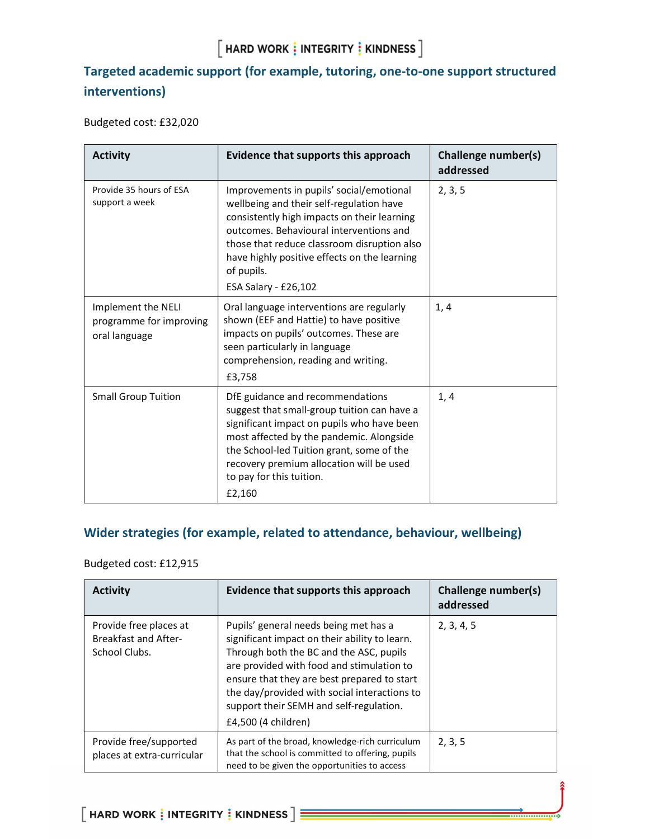## $[$  HARD WORK  $\frac{1}{2}$  INTEGRITY  $\frac{1}{2}$  KINDNESS  $]$

## Targeted academic support (for example, tutoring, one-to-one support structured interventions)

Budgeted cost: £32,020

| <b>Activity</b>                                                | Evidence that supports this approach                                                                                                                                                                                                                                                                                | <b>Challenge number(s)</b><br>addressed |
|----------------------------------------------------------------|---------------------------------------------------------------------------------------------------------------------------------------------------------------------------------------------------------------------------------------------------------------------------------------------------------------------|-----------------------------------------|
| Provide 35 hours of ESA<br>support a week                      | Improvements in pupils' social/emotional<br>wellbeing and their self-regulation have<br>consistently high impacts on their learning<br>outcomes. Behavioural interventions and<br>those that reduce classroom disruption also<br>have highly positive effects on the learning<br>of pupils.<br>ESA Salary - £26,102 | 2, 3, 5                                 |
| Implement the NELI<br>programme for improving<br>oral language | Oral language interventions are regularly<br>shown (EEF and Hattie) to have positive<br>impacts on pupils' outcomes. These are<br>seen particularly in language<br>comprehension, reading and writing.<br>£3,758                                                                                                    | 1, 4                                    |
| <b>Small Group Tuition</b>                                     | DfE guidance and recommendations<br>suggest that small-group tuition can have a<br>significant impact on pupils who have been<br>most affected by the pandemic. Alongside<br>the School-led Tuition grant, some of the<br>recovery premium allocation will be used<br>to pay for this tuition.<br>£2,160            | 1, 4                                    |

## Wider strategies (for example, related to attendance, behaviour, wellbeing)

#### Budgeted cost: £12,915

| <b>Activity</b>                                                        | Evidence that supports this approach                                                                                                                                                                                                                                                                                                            | <b>Challenge number(s)</b><br>addressed |
|------------------------------------------------------------------------|-------------------------------------------------------------------------------------------------------------------------------------------------------------------------------------------------------------------------------------------------------------------------------------------------------------------------------------------------|-----------------------------------------|
| Provide free places at<br><b>Breakfast and After-</b><br>School Clubs. | Pupils' general needs being met has a<br>significant impact on their ability to learn.<br>Through both the BC and the ASC, pupils<br>are provided with food and stimulation to<br>ensure that they are best prepared to start<br>the day/provided with social interactions to<br>support their SEMH and self-regulation.<br>£4,500 (4 children) | 2, 3, 4, 5                              |
| Provide free/supported<br>places at extra-curricular                   | As part of the broad, knowledge-rich curriculum<br>that the school is committed to offering, pupils<br>need to be given the opportunities to access                                                                                                                                                                                             | 2, 3, 5                                 |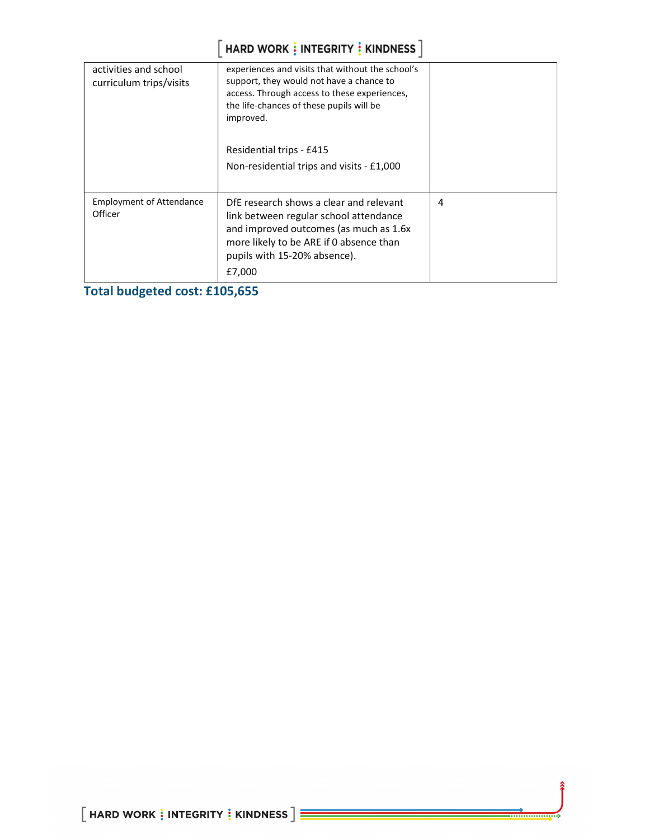# $\left[\right.$  HARD WORK  $\frac{1}{3}$  INTEGRITY  $\frac{1}{3}$  KINDNESS  $\left.\right]$

| activities and school<br>curriculum trips/visits | experiences and visits that without the school's<br>support, they would not have a chance to<br>access. Through access to these experiences,<br>the life-chances of these pupils will be<br>improved.<br>Residential trips - £415<br>Non-residential trips and visits - £1,000 |   |
|--------------------------------------------------|--------------------------------------------------------------------------------------------------------------------------------------------------------------------------------------------------------------------------------------------------------------------------------|---|
|                                                  |                                                                                                                                                                                                                                                                                |   |
| <b>Employment of Attendance</b><br>Officer       | DfE research shows a clear and relevant<br>link between regular school attendance<br>and improved outcomes (as much as 1.6x<br>more likely to be ARE if 0 absence than<br>pupils with 15-20% absence).<br>£7,000                                                               | 4 |

Total budgeted cost: £105,655